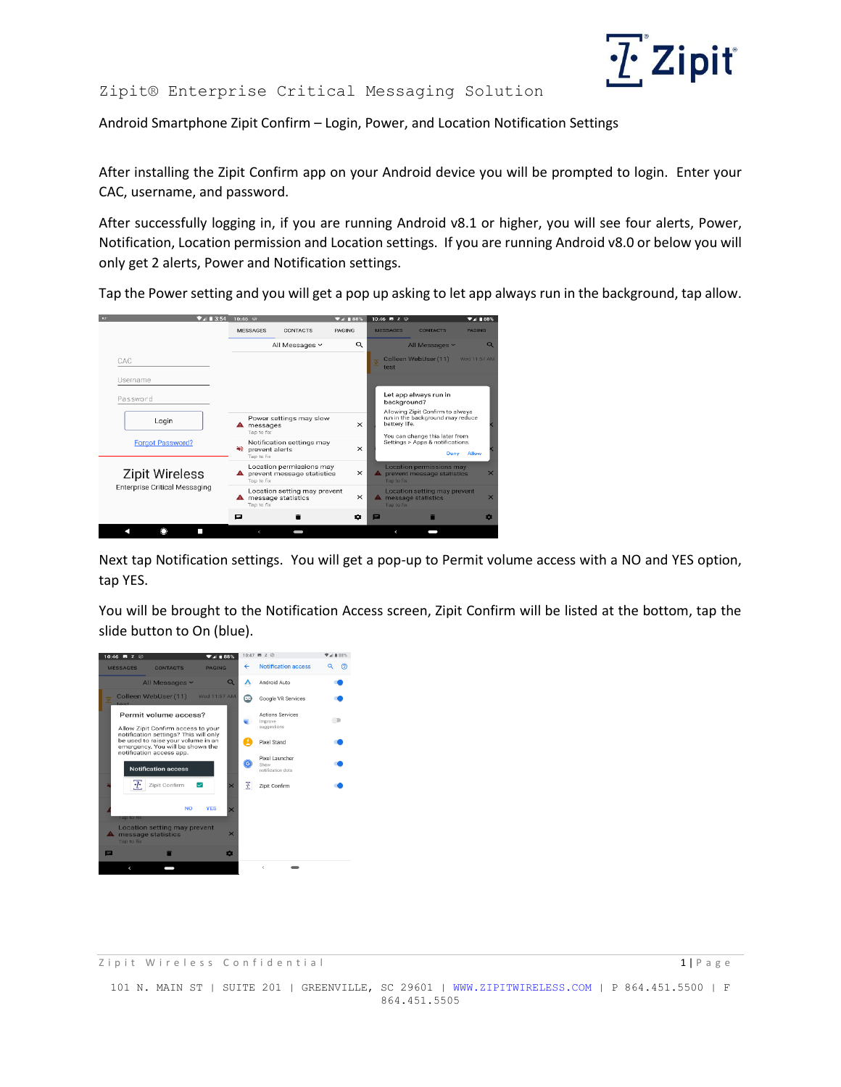

## Zipit® Enterprise Critical Messaging Solution

Android Smartphone Zipit Confirm – Login, Power, and Location Notification Settings

After installing the Zipit Confirm app on your Android device you will be prompted to login. Enter your CAC, username, and password.

After successfully logging in, if you are running Android v8.1 or higher, you will see four alerts, Power, Notification, Location permission and Location settings. If you are running Android v8.0 or below you will only get 2 alerts, Power and Notification settings.

Tap the Power setting and you will get a pop up asking to let app always run in the background, tap allow.



Next tap Notification settings. You will get a pop-up to Permit volume access with a NO and YES option, tap YES.

You will be brought to the Notification Access screen, Zipit Confirm will be listed at the bottom, tap the slide button to On (blue).



101 N. MAIN ST | SUITE 201 | GREENVILLE, SC 29601 | [WWW.ZIPITWIRELESS.COM](http://www.zipitwireless.com/) | P 864.451.5500 | F 864.451.5505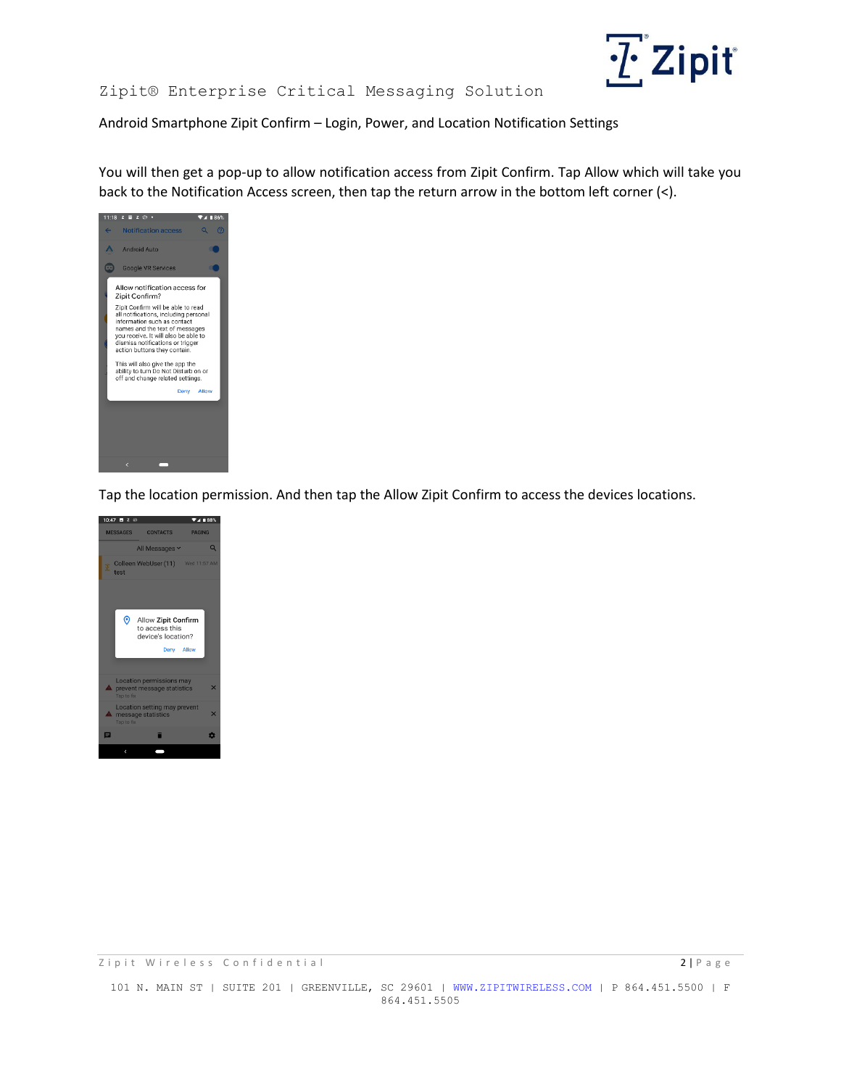## $\underline{?'}$  Zipit

## Zipit® Enterprise Critical Messaging Solution

Android Smartphone Zipit Confirm – Login, Power, and Location Notification Settings

You will then get a pop-up to allow notification access from Zipit Confirm. Tap Allow which will take you back to the Notification Access screen, then tap the return arrow in the bottom left corner (<).



Tap the location permission. And then tap the Allow Zipit Confirm to access the devices locations.



101 N. MAIN ST | SUITE 201 | GREENVILLE, SC 29601 | [WWW.ZIPITWIRELESS.COM](http://www.zipitwireless.com/) | P 864.451.5500 | F 864.451.5505